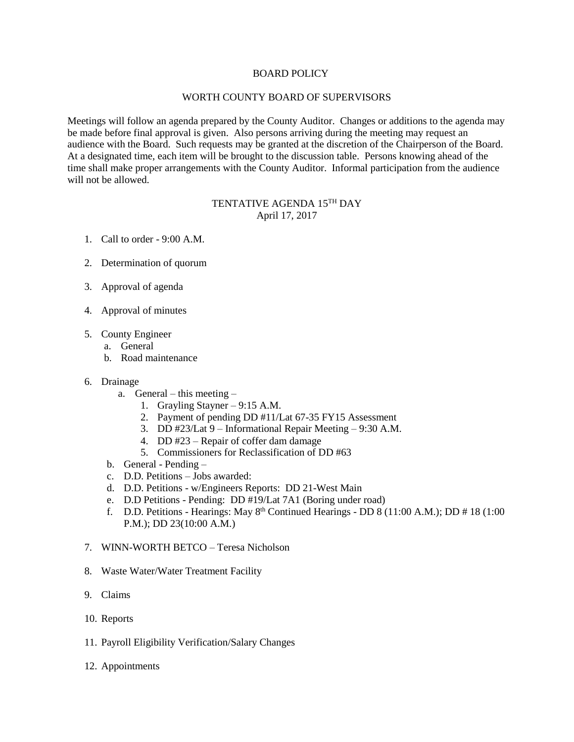# BOARD POLICY

# WORTH COUNTY BOARD OF SUPERVISORS

Meetings will follow an agenda prepared by the County Auditor. Changes or additions to the agenda may be made before final approval is given. Also persons arriving during the meeting may request an audience with the Board. Such requests may be granted at the discretion of the Chairperson of the Board. At a designated time, each item will be brought to the discussion table. Persons knowing ahead of the time shall make proper arrangements with the County Auditor. Informal participation from the audience will not be allowed.

# TENTATIVE AGENDA 15<sup>th</sup> DAY April 17, 2017

- 1. Call to order 9:00 A.M.
- 2. Determination of quorum
- 3. Approval of agenda
- 4. Approval of minutes
- 5. County Engineer
	- a. General
	- b. Road maintenance
- 6. Drainage
	- a. General this meeting
		- 1. Grayling Stayner 9:15 A.M.
		- 2. Payment of pending DD #11/Lat 67-35 FY15 Assessment
		- 3. DD #23/Lat 9 Informational Repair Meeting 9:30 A.M.
		- 4. DD #23 Repair of coffer dam damage
		- 5. Commissioners for Reclassification of DD #63
	- b. General Pending –
	- c. D.D. Petitions Jobs awarded:
	- d. D.D. Petitions w/Engineers Reports: DD 21-West Main
	- e. D.D Petitions Pending: DD #19/Lat 7A1 (Boring under road)
	- f. D.D. Petitions Hearings: May  $8<sup>th</sup>$  Continued Hearings DD  $8(11:00 \text{ A.M.})$ ; DD  $\# 18(1:00 \text{ A.m.})$ P.M.); DD 23(10:00 A.M.)
- 7. WINN-WORTH BETCO Teresa Nicholson
- 8. Waste Water/Water Treatment Facility
- 9. Claims
- 10. Reports
- 11. Payroll Eligibility Verification/Salary Changes
- 12. Appointments